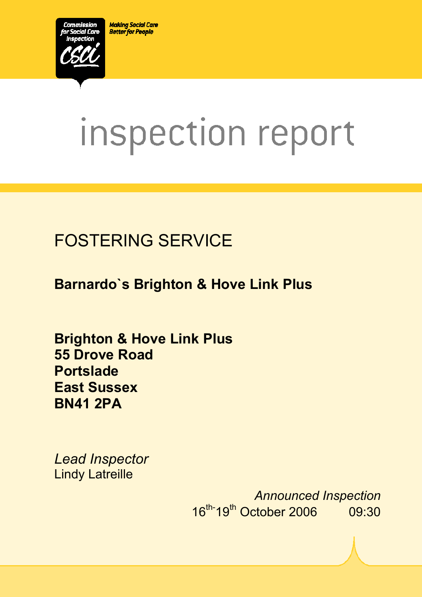**Making Social Care Better for People** 



# inspection report

# FOSTERING SERVICE

**Barnardo`s Brighton & Hove Link Plus** 

 $X_1$ 10029.doc Version 1.40 Page 1.40 Page 1.40 Page 1.40 Page 1.40 Page 1.40 Page 1.40 Page 1.40 Page 1.40 Page 1.40 Page 1.40 Page 1.40 Page 1.40 Page 1.40 Page 1.40 Page 1.40 Page 1.40 Page 1.40 Page 1.40 Page 1.40 Pag

**Brighton & Hove Link Plus 55 Drove Road Portslade East Sussex BN41 2PA** 

*Lead Inspector*  Lindy Latreille

> *Announced Inspection* 16th-19th October 2006 09:30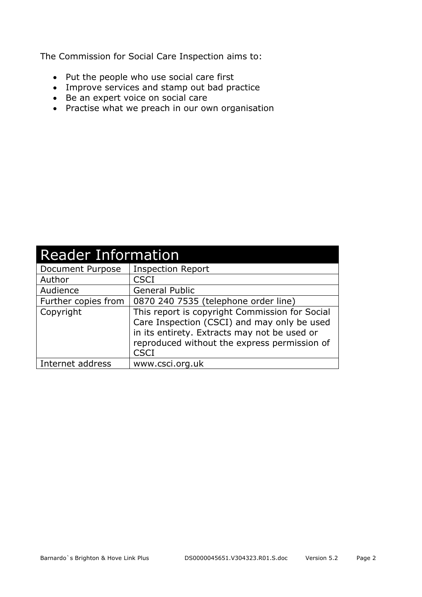The Commission for Social Care Inspection aims to:

- Put the people who use social care first
- Improve services and stamp out bad practice
- Be an expert voice on social care
- Practise what we preach in our own organisation

| <b>Reader Information</b> |                                                                                                                                                                                                              |  |  |
|---------------------------|--------------------------------------------------------------------------------------------------------------------------------------------------------------------------------------------------------------|--|--|
| Document Purpose          | <b>Inspection Report</b>                                                                                                                                                                                     |  |  |
| Author                    | <b>CSCI</b>                                                                                                                                                                                                  |  |  |
| Audience                  | <b>General Public</b>                                                                                                                                                                                        |  |  |
| Further copies from       | 0870 240 7535 (telephone order line)                                                                                                                                                                         |  |  |
| Copyright                 | This report is copyright Commission for Social<br>Care Inspection (CSCI) and may only be used<br>in its entirety. Extracts may not be used or<br>reproduced without the express permission of<br><b>CSCI</b> |  |  |
| Internet address          | www.csci.org.uk                                                                                                                                                                                              |  |  |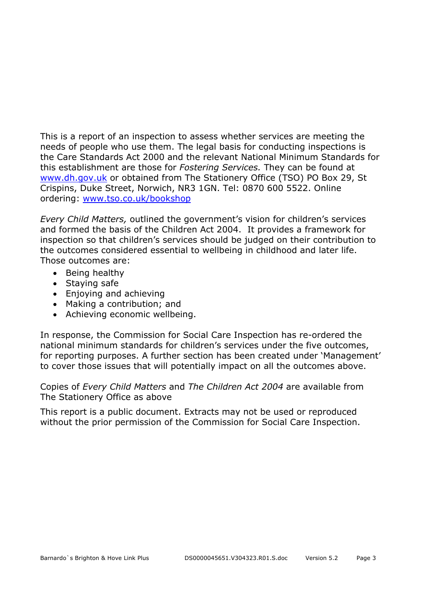This is a report of an inspection to assess whether services are meeting the needs of people who use them. The legal basis for conducting inspections is the Care Standards Act 2000 and the relevant National Minimum Standards for this establishment are those for *Fostering Services.* They can be found at www.dh.gov.uk or obtained from The Stationery Office (TSO) PO Box 29, St Crispins, Duke Street, Norwich, NR3 1GN. Tel: 0870 600 5522. Online ordering: www.tso.co.uk/bookshop

*Every Child Matters,* outlined the government's vision for children's services and formed the basis of the Children Act 2004. It provides a framework for inspection so that children's services should be judged on their contribution to the outcomes considered essential to wellbeing in childhood and later life. Those outcomes are:

- Being healthy
- Staying safe
- Enjoying and achieving
- Making a contribution; and
- Achieving economic wellbeing.

In response, the Commission for Social Care Inspection has re-ordered the national minimum standards for children's services under the five outcomes, for reporting purposes. A further section has been created under 'Management' to cover those issues that will potentially impact on all the outcomes above.

Copies of *Every Child Matters* and *The Children Act 2004* are available from The Stationery Office as above

This report is a public document. Extracts may not be used or reproduced without the prior permission of the Commission for Social Care Inspection.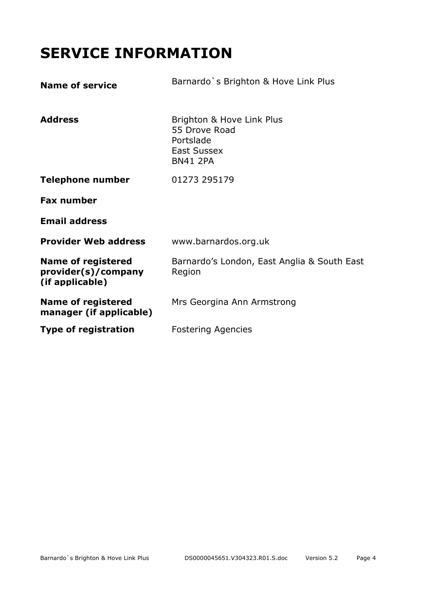# **SERVICE INFORMATION**

| <b>Name of service</b>                                              | Barnardo's Brighton & Hove Link Plus                                                             |
|---------------------------------------------------------------------|--------------------------------------------------------------------------------------------------|
| <b>Address</b>                                                      | Brighton & Hove Link Plus<br>55 Drove Road<br>Portslade<br><b>East Sussex</b><br><b>BN41 2PA</b> |
| Telephone number                                                    | 01273 295179                                                                                     |
| <b>Fax number</b>                                                   |                                                                                                  |
| <b>Email address</b>                                                |                                                                                                  |
| <b>Provider Web address</b>                                         | www.barnardos.org.uk                                                                             |
| <b>Name of registered</b><br>provider(s)/company<br>(if applicable) | Barnardo's London, East Anglia & South East<br>Region                                            |
| <b>Name of registered</b><br>manager (if applicable)                | Mrs Georgina Ann Armstrong                                                                       |
| <b>Type of registration</b>                                         | <b>Fostering Agencies</b>                                                                        |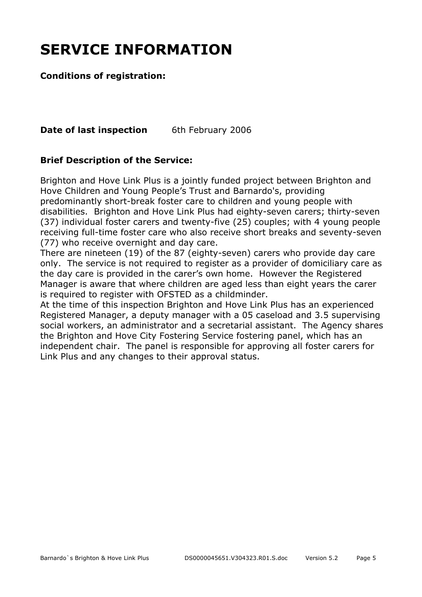# **SERVICE INFORMATION**

#### **Conditions of registration:**

**Date of last inspection** 6th February 2006

#### **Brief Description of the Service:**

Brighton and Hove Link Plus is a jointly funded project between Brighton and Hove Children and Young People's Trust and Barnardo's, providing predominantly short-break foster care to children and young people with disabilities. Brighton and Hove Link Plus had eighty-seven carers; thirty-seven (37) individual foster carers and twenty-five (25) couples; with 4 young people receiving full-time foster care who also receive short breaks and seventy-seven (77) who receive overnight and day care.

There are nineteen (19) of the 87 (eighty-seven) carers who provide day care only. The service is not required to register as a provider of domiciliary care as the day care is provided in the carer's own home. However the Registered Manager is aware that where children are aged less than eight years the carer is required to register with OFSTED as a childminder.

At the time of this inspection Brighton and Hove Link Plus has an experienced Registered Manager, a deputy manager with a 05 caseload and 3.5 supervising social workers, an administrator and a secretarial assistant. The Agency shares the Brighton and Hove City Fostering Service fostering panel, which has an independent chair. The panel is responsible for approving all foster carers for Link Plus and any changes to their approval status.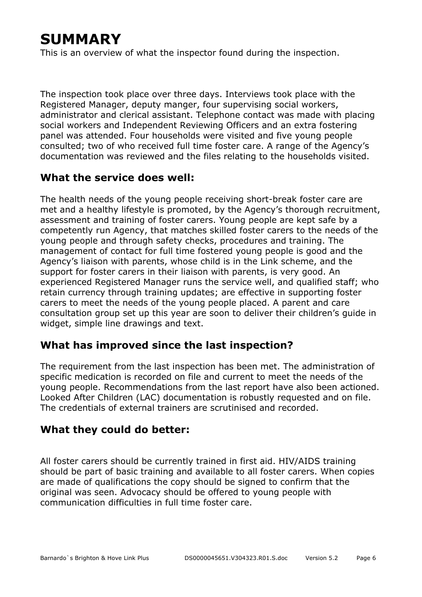# **SUMMARY**

This is an overview of what the inspector found during the inspection.

The inspection took place over three days. Interviews took place with the Registered Manager, deputy manger, four supervising social workers, administrator and clerical assistant. Telephone contact was made with placing social workers and Independent Reviewing Officers and an extra fostering panel was attended. Four households were visited and five young people consulted; two of who received full time foster care. A range of the Agency's documentation was reviewed and the files relating to the households visited.

#### **What the service does well:**

The health needs of the young people receiving short-break foster care are met and a healthy lifestyle is promoted, by the Agency's thorough recruitment, assessment and training of foster carers. Young people are kept safe by a competently run Agency, that matches skilled foster carers to the needs of the young people and through safety checks, procedures and training. The management of contact for full time fostered young people is good and the Agency's liaison with parents, whose child is in the Link scheme, and the support for foster carers in their liaison with parents, is very good. An experienced Registered Manager runs the service well, and qualified staff; who retain currency through training updates; are effective in supporting foster carers to meet the needs of the young people placed. A parent and care consultation group set up this year are soon to deliver their children's guide in widget, simple line drawings and text.

#### **What has improved since the last inspection?**

The requirement from the last inspection has been met. The administration of specific medication is recorded on file and current to meet the needs of the young people. Recommendations from the last report have also been actioned. Looked After Children (LAC) documentation is robustly requested and on file. The credentials of external trainers are scrutinised and recorded.

#### **What they could do better:**

All foster carers should be currently trained in first aid. HIV/AIDS training should be part of basic training and available to all foster carers. When copies are made of qualifications the copy should be signed to confirm that the original was seen. Advocacy should be offered to young people with communication difficulties in full time foster care.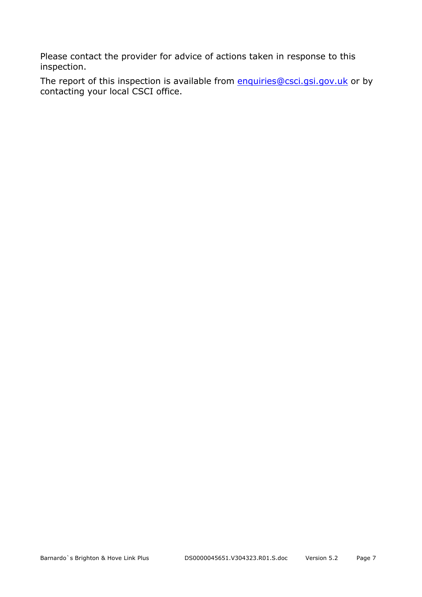Please contact the provider for advice of actions taken in response to this inspection.

The report of this inspection is available from enquiries@csci.gsi.gov.uk or by contacting your local CSCI office.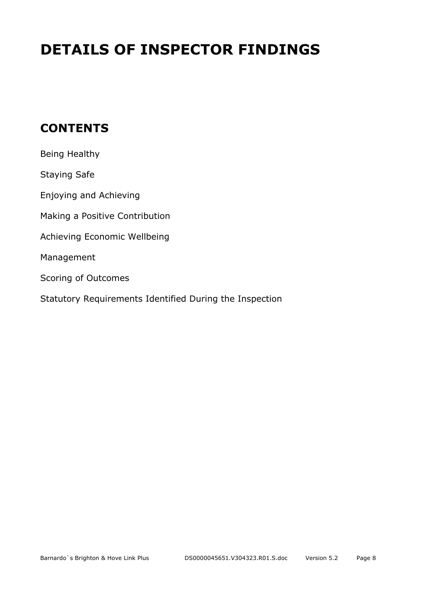# **DETAILS OF INSPECTOR FINDINGS**

## **CONTENTS**

| Being Healthy                                           |
|---------------------------------------------------------|
| <b>Staying Safe</b>                                     |
| Enjoying and Achieving                                  |
| Making a Positive Contribution                          |
| Achieving Economic Wellbeing                            |
| Management                                              |
| Scoring of Outcomes                                     |
| Statutory Requirements Identified During the Inspection |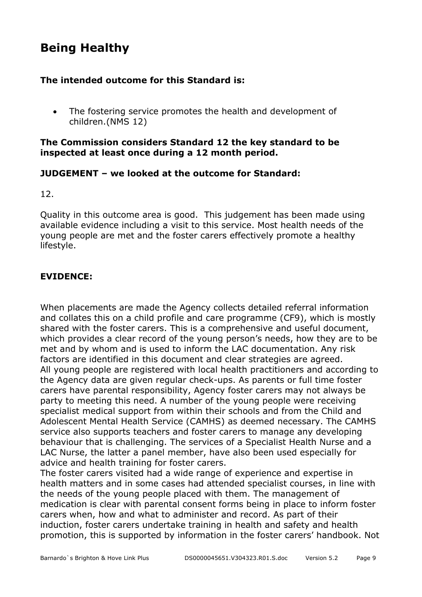## **Being Healthy**

#### **The intended outcome for this Standard is:**

• The fostering service promotes the health and development of children.(NMS 12)

#### **The Commission considers Standard 12 the key standard to be inspected at least once during a 12 month period.**

#### **JUDGEMENT – we looked at the outcome for Standard:**

12.

Quality in this outcome area is good. This judgement has been made using available evidence including a visit to this service. Most health needs of the young people are met and the foster carers effectively promote a healthy lifestyle.

#### **EVIDENCE:**

When placements are made the Agency collects detailed referral information and collates this on a child profile and care programme (CF9), which is mostly shared with the foster carers. This is a comprehensive and useful document, which provides a clear record of the young person's needs, how they are to be met and by whom and is used to inform the LAC documentation. Any risk factors are identified in this document and clear strategies are agreed. All young people are registered with local health practitioners and according to the Agency data are given regular check-ups. As parents or full time foster carers have parental responsibility, Agency foster carers may not always be party to meeting this need. A number of the young people were receiving specialist medical support from within their schools and from the Child and Adolescent Mental Health Service (CAMHS) as deemed necessary. The CAMHS service also supports teachers and foster carers to manage any developing behaviour that is challenging. The services of a Specialist Health Nurse and a LAC Nurse, the latter a panel member, have also been used especially for advice and health training for foster carers.

The foster carers visited had a wide range of experience and expertise in health matters and in some cases had attended specialist courses, in line with the needs of the young people placed with them. The management of medication is clear with parental consent forms being in place to inform foster carers when, how and what to administer and record. As part of their induction, foster carers undertake training in health and safety and health promotion, this is supported by information in the foster carers' handbook. Not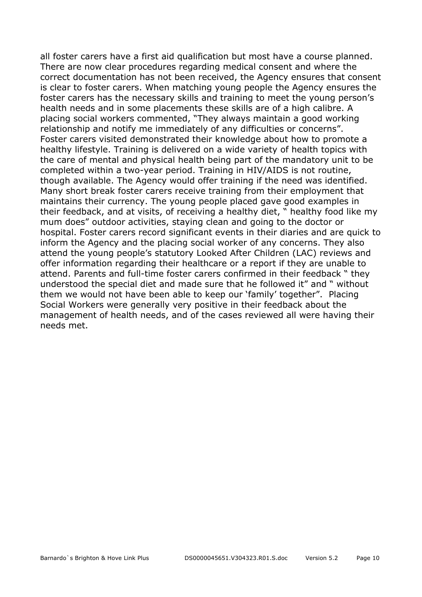all foster carers have a first aid qualification but most have a course planned. There are now clear procedures regarding medical consent and where the correct documentation has not been received, the Agency ensures that consent is clear to foster carers. When matching young people the Agency ensures the foster carers has the necessary skills and training to meet the young person's health needs and in some placements these skills are of a high calibre. A placing social workers commented, "They always maintain a good working relationship and notify me immediately of any difficulties or concerns". Foster carers visited demonstrated their knowledge about how to promote a healthy lifestyle. Training is delivered on a wide variety of health topics with the care of mental and physical health being part of the mandatory unit to be completed within a two-year period. Training in HIV/AIDS is not routine, though available. The Agency would offer training if the need was identified. Many short break foster carers receive training from their employment that maintains their currency. The young people placed gave good examples in their feedback, and at visits, of receiving a healthy diet, " healthy food like my mum does" outdoor activities, staying clean and going to the doctor or hospital. Foster carers record significant events in their diaries and are quick to inform the Agency and the placing social worker of any concerns. They also attend the young people's statutory Looked After Children (LAC) reviews and offer information regarding their healthcare or a report if they are unable to attend. Parents and full-time foster carers confirmed in their feedback " they understood the special diet and made sure that he followed it" and " without them we would not have been able to keep our 'family' together". Placing Social Workers were generally very positive in their feedback about the management of health needs, and of the cases reviewed all were having their needs met.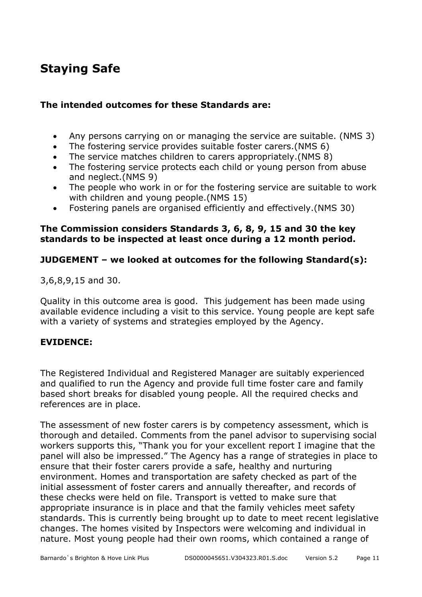## **Staying Safe**

#### **The intended outcomes for these Standards are:**

- Any persons carrying on or managing the service are suitable. (NMS 3)
- The fostering service provides suitable foster carers.(NMS 6)
- The service matches children to carers appropriately.(NMS 8)
- The fostering service protects each child or young person from abuse and neglect.(NMS 9)
- The people who work in or for the fostering service are suitable to work with children and young people.(NMS 15)
- Fostering panels are organised efficiently and effectively.(NMS 30)

#### **The Commission considers Standards 3, 6, 8, 9, 15 and 30 the key standards to be inspected at least once during a 12 month period.**

#### **JUDGEMENT – we looked at outcomes for the following Standard(s):**

3,6,8,9,15 and 30.

Quality in this outcome area is good. This judgement has been made using available evidence including a visit to this service. Young people are kept safe with a variety of systems and strategies employed by the Agency.

#### **EVIDENCE:**

The Registered Individual and Registered Manager are suitably experienced and qualified to run the Agency and provide full time foster care and family based short breaks for disabled young people. All the required checks and references are in place.

The assessment of new foster carers is by competency assessment, which is thorough and detailed. Comments from the panel advisor to supervising social workers supports this, "Thank you for your excellent report I imagine that the panel will also be impressed." The Agency has a range of strategies in place to ensure that their foster carers provide a safe, healthy and nurturing environment. Homes and transportation are safety checked as part of the initial assessment of foster carers and annually thereafter, and records of these checks were held on file. Transport is vetted to make sure that appropriate insurance is in place and that the family vehicles meet safety standards. This is currently being brought up to date to meet recent legislative changes. The homes visited by Inspectors were welcoming and individual in nature. Most young people had their own rooms, which contained a range of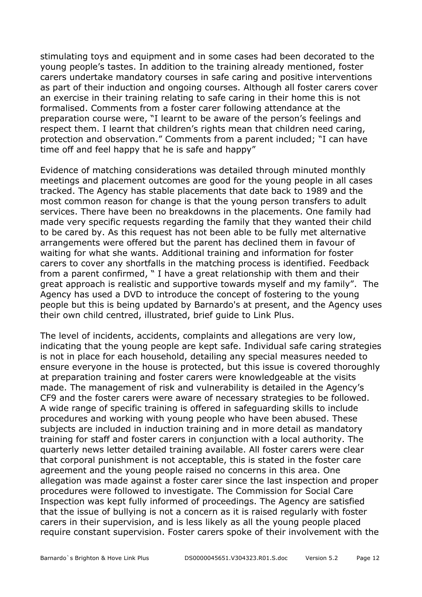stimulating toys and equipment and in some cases had been decorated to the young people's tastes. In addition to the training already mentioned, foster carers undertake mandatory courses in safe caring and positive interventions as part of their induction and ongoing courses. Although all foster carers cover an exercise in their training relating to safe caring in their home this is not formalised. Comments from a foster carer following attendance at the preparation course were, "I learnt to be aware of the person's feelings and respect them. I learnt that children's rights mean that children need caring, protection and observation." Comments from a parent included; "I can have time off and feel happy that he is safe and happy"

Evidence of matching considerations was detailed through minuted monthly meetings and placement outcomes are good for the young people in all cases tracked. The Agency has stable placements that date back to 1989 and the most common reason for change is that the young person transfers to adult services. There have been no breakdowns in the placements. One family had made very specific requests regarding the family that they wanted their child to be cared by. As this request has not been able to be fully met alternative arrangements were offered but the parent has declined them in favour of waiting for what she wants. Additional training and information for foster carers to cover any shortfalls in the matching process is identified. Feedback from a parent confirmed, " I have a great relationship with them and their great approach is realistic and supportive towards myself and my family". The Agency has used a DVD to introduce the concept of fostering to the young people but this is being updated by Barnardo's at present, and the Agency uses their own child centred, illustrated, brief guide to Link Plus.

The level of incidents, accidents, complaints and allegations are very low, indicating that the young people are kept safe. Individual safe caring strategies is not in place for each household, detailing any special measures needed to ensure everyone in the house is protected, but this issue is covered thoroughly at preparation training and foster carers were knowledgeable at the visits made. The management of risk and vulnerability is detailed in the Agency's CF9 and the foster carers were aware of necessary strategies to be followed. A wide range of specific training is offered in safeguarding skills to include procedures and working with young people who have been abused. These subjects are included in induction training and in more detail as mandatory training for staff and foster carers in conjunction with a local authority. The quarterly news letter detailed training available. All foster carers were clear that corporal punishment is not acceptable, this is stated in the foster care agreement and the young people raised no concerns in this area. One allegation was made against a foster carer since the last inspection and proper procedures were followed to investigate. The Commission for Social Care Inspection was kept fully informed of proceedings. The Agency are satisfied that the issue of bullying is not a concern as it is raised regularly with foster carers in their supervision, and is less likely as all the young people placed require constant supervision. Foster carers spoke of their involvement with the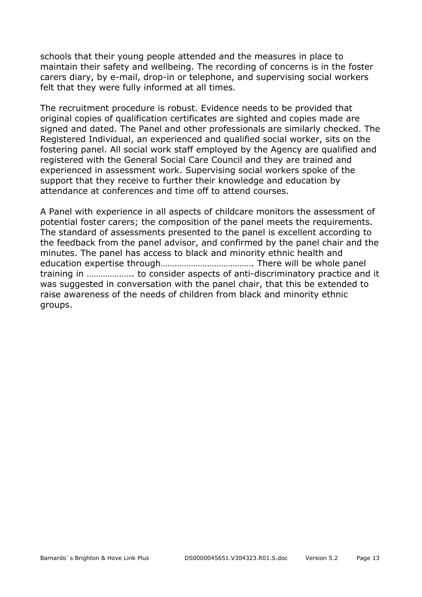schools that their young people attended and the measures in place to maintain their safety and wellbeing. The recording of concerns is in the foster carers diary, by e-mail, drop-in or telephone, and supervising social workers felt that they were fully informed at all times.

The recruitment procedure is robust. Evidence needs to be provided that original copies of qualification certificates are sighted and copies made are signed and dated. The Panel and other professionals are similarly checked. The Registered Individual, an experienced and qualified social worker, sits on the fostering panel. All social work staff employed by the Agency are qualified and registered with the General Social Care Council and they are trained and experienced in assessment work. Supervising social workers spoke of the support that they receive to further their knowledge and education by attendance at conferences and time off to attend courses.

A Panel with experience in all aspects of childcare monitors the assessment of potential foster carers; the composition of the panel meets the requirements. The standard of assessments presented to the panel is excellent according to the feedback from the panel advisor, and confirmed by the panel chair and the minutes. The panel has access to black and minority ethnic health and education expertise through…………………………………. There will be whole panel training in ……………….. to consider aspects of anti-discriminatory practice and it was suggested in conversation with the panel chair, that this be extended to raise awareness of the needs of children from black and minority ethnic groups.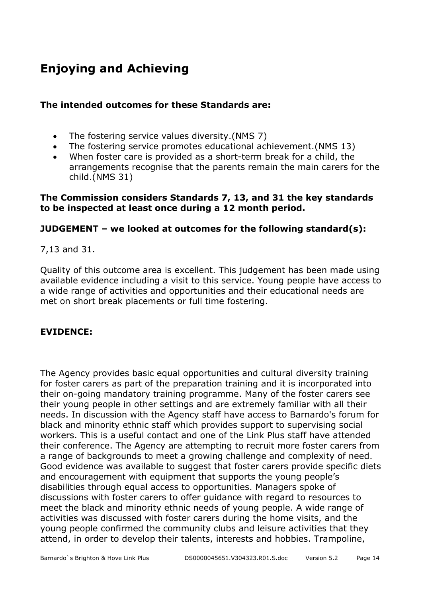# **Enjoying and Achieving**

#### **The intended outcomes for these Standards are:**

- The fostering service values diversity.(NMS 7)
- The fostering service promotes educational achievement.(NMS 13)
- When foster care is provided as a short-term break for a child, the arrangements recognise that the parents remain the main carers for the child.(NMS 31)

#### **The Commission considers Standards 7, 13, and 31 the key standards to be inspected at least once during a 12 month period.**

#### **JUDGEMENT – we looked at outcomes for the following standard(s):**

7,13 and 31.

Quality of this outcome area is excellent. This judgement has been made using available evidence including a visit to this service. Young people have access to a wide range of activities and opportunities and their educational needs are met on short break placements or full time fostering.

#### **EVIDENCE:**

The Agency provides basic equal opportunities and cultural diversity training for foster carers as part of the preparation training and it is incorporated into their on-going mandatory training programme. Many of the foster carers see their young people in other settings and are extremely familiar with all their needs. In discussion with the Agency staff have access to Barnardo's forum for black and minority ethnic staff which provides support to supervising social workers. This is a useful contact and one of the Link Plus staff have attended their conference. The Agency are attempting to recruit more foster carers from a range of backgrounds to meet a growing challenge and complexity of need. Good evidence was available to suggest that foster carers provide specific diets and encouragement with equipment that supports the young people's disabilities through equal access to opportunities. Managers spoke of discussions with foster carers to offer guidance with regard to resources to meet the black and minority ethnic needs of young people. A wide range of activities was discussed with foster carers during the home visits, and the young people confirmed the community clubs and leisure activities that they attend, in order to develop their talents, interests and hobbies. Trampoline,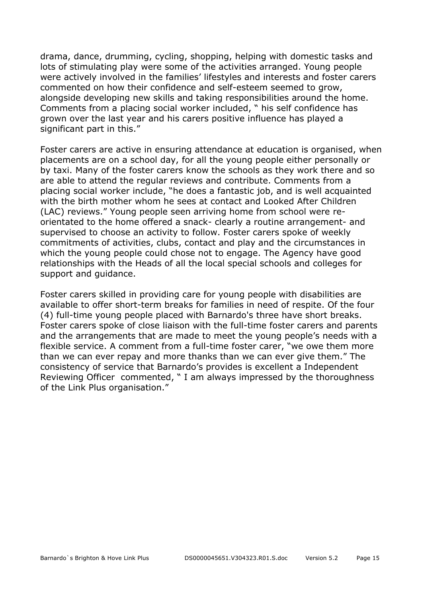drama, dance, drumming, cycling, shopping, helping with domestic tasks and lots of stimulating play were some of the activities arranged. Young people were actively involved in the families' lifestyles and interests and foster carers commented on how their confidence and self-esteem seemed to grow, alongside developing new skills and taking responsibilities around the home. Comments from a placing social worker included, " his self confidence has grown over the last year and his carers positive influence has played a significant part in this."

Foster carers are active in ensuring attendance at education is organised, when placements are on a school day, for all the young people either personally or by taxi. Many of the foster carers know the schools as they work there and so are able to attend the regular reviews and contribute. Comments from a placing social worker include, "he does a fantastic job, and is well acquainted with the birth mother whom he sees at contact and Looked After Children (LAC) reviews." Young people seen arriving home from school were reorientated to the home offered a snack- clearly a routine arrangement- and supervised to choose an activity to follow. Foster carers spoke of weekly commitments of activities, clubs, contact and play and the circumstances in which the young people could chose not to engage. The Agency have good relationships with the Heads of all the local special schools and colleges for support and guidance.

Foster carers skilled in providing care for young people with disabilities are available to offer short-term breaks for families in need of respite. Of the four (4) full-time young people placed with Barnardo's three have short breaks. Foster carers spoke of close liaison with the full-time foster carers and parents and the arrangements that are made to meet the young people's needs with a flexible service. A comment from a full-time foster carer, "we owe them more than we can ever repay and more thanks than we can ever give them." The consistency of service that Barnardo's provides is excellent a Independent Reviewing Officer commented, " I am always impressed by the thoroughness of the Link Plus organisation."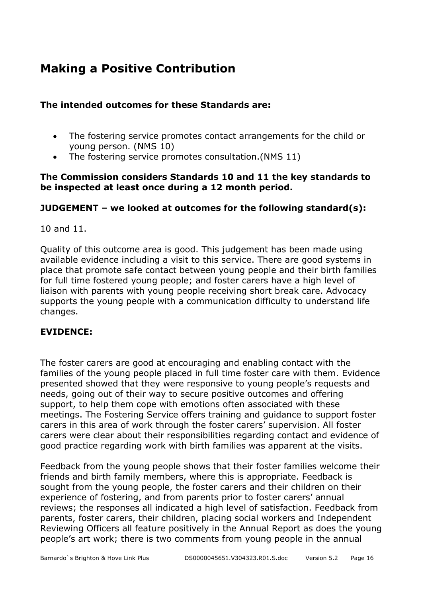## **Making a Positive Contribution**

#### **The intended outcomes for these Standards are:**

- The fostering service promotes contact arrangements for the child or young person. (NMS 10)
- The fostering service promotes consultation.(NMS 11)

#### **The Commission considers Standards 10 and 11 the key standards to be inspected at least once during a 12 month period.**

#### **JUDGEMENT – we looked at outcomes for the following standard(s):**

10 and 11.

Quality of this outcome area is good. This judgement has been made using available evidence including a visit to this service. There are good systems in place that promote safe contact between young people and their birth families for full time fostered young people; and foster carers have a high level of liaison with parents with young people receiving short break care. Advocacy supports the young people with a communication difficulty to understand life changes.

#### **EVIDENCE:**

The foster carers are good at encouraging and enabling contact with the families of the young people placed in full time foster care with them. Evidence presented showed that they were responsive to young people's requests and needs, going out of their way to secure positive outcomes and offering support, to help them cope with emotions often associated with these meetings. The Fostering Service offers training and guidance to support foster carers in this area of work through the foster carers' supervision. All foster carers were clear about their responsibilities regarding contact and evidence of good practice regarding work with birth families was apparent at the visits.

Feedback from the young people shows that their foster families welcome their friends and birth family members, where this is appropriate. Feedback is sought from the young people, the foster carers and their children on their experience of fostering, and from parents prior to foster carers' annual reviews; the responses all indicated a high level of satisfaction. Feedback from parents, foster carers, their children, placing social workers and Independent Reviewing Officers all feature positively in the Annual Report as does the young people's art work; there is two comments from young people in the annual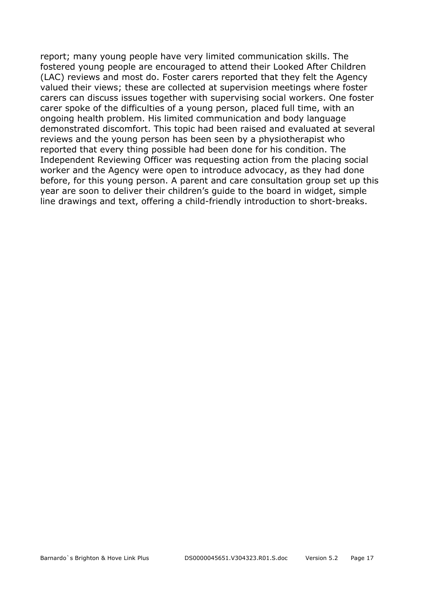report; many young people have very limited communication skills. The fostered young people are encouraged to attend their Looked After Children (LAC) reviews and most do. Foster carers reported that they felt the Agency valued their views; these are collected at supervision meetings where foster carers can discuss issues together with supervising social workers. One foster carer spoke of the difficulties of a young person, placed full time, with an ongoing health problem. His limited communication and body language demonstrated discomfort. This topic had been raised and evaluated at several reviews and the young person has been seen by a physiotherapist who reported that every thing possible had been done for his condition. The Independent Reviewing Officer was requesting action from the placing social worker and the Agency were open to introduce advocacy, as they had done before, for this young person. A parent and care consultation group set up this year are soon to deliver their children's guide to the board in widget, simple line drawings and text, offering a child-friendly introduction to short-breaks.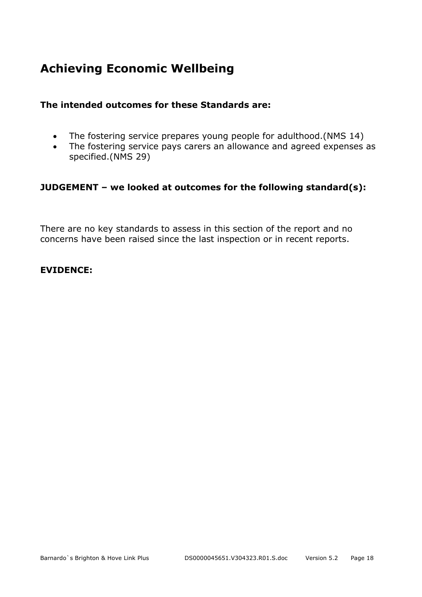## **Achieving Economic Wellbeing**

#### **The intended outcomes for these Standards are:**

- The fostering service prepares young people for adulthood.(NMS 14)
- The fostering service pays carers an allowance and agreed expenses as specified.(NMS 29)

#### **JUDGEMENT – we looked at outcomes for the following standard(s):**

There are no key standards to assess in this section of the report and no concerns have been raised since the last inspection or in recent reports.

#### **EVIDENCE:**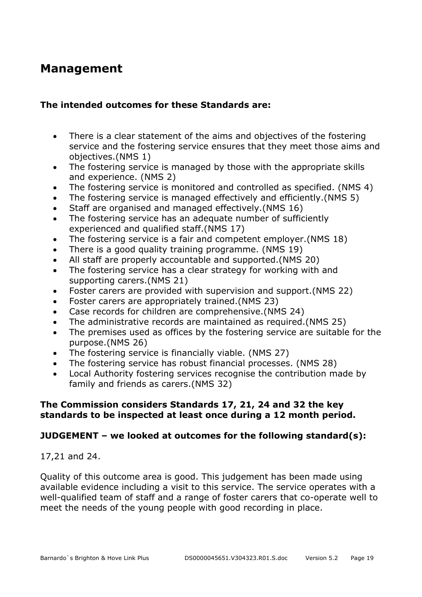### **Management**

#### **The intended outcomes for these Standards are:**

- There is a clear statement of the aims and objectives of the fostering service and the fostering service ensures that they meet those aims and objectives.(NMS 1)
- The fostering service is managed by those with the appropriate skills and experience. (NMS 2)
- The fostering service is monitored and controlled as specified. (NMS 4)
- The fostering service is managed effectively and efficiently.(NMS 5)
- Staff are organised and managed effectively.(NMS 16)
- The fostering service has an adequate number of sufficiently experienced and qualified staff.(NMS 17)
- The fostering service is a fair and competent employer.(NMS 18)
- There is a good quality training programme. (NMS 19)
- All staff are properly accountable and supported.(NMS 20)
- The fostering service has a clear strategy for working with and supporting carers.(NMS 21)
- Foster carers are provided with supervision and support.(NMS 22)
- Foster carers are appropriately trained.(NMS 23)
- Case records for children are comprehensive.(NMS 24)
- The administrative records are maintained as required.(NMS 25)
- The premises used as offices by the fostering service are suitable for the purpose.(NMS 26)
- The fostering service is financially viable. (NMS 27)
- The fostering service has robust financial processes. (NMS 28)
- Local Authority fostering services recognise the contribution made by family and friends as carers.(NMS 32)

#### **The Commission considers Standards 17, 21, 24 and 32 the key standards to be inspected at least once during a 12 month period.**

#### **JUDGEMENT – we looked at outcomes for the following standard(s):**

17,21 and 24.

Quality of this outcome area is good. This judgement has been made using available evidence including a visit to this service. The service operates with a well-qualified team of staff and a range of foster carers that co-operate well to meet the needs of the young people with good recording in place.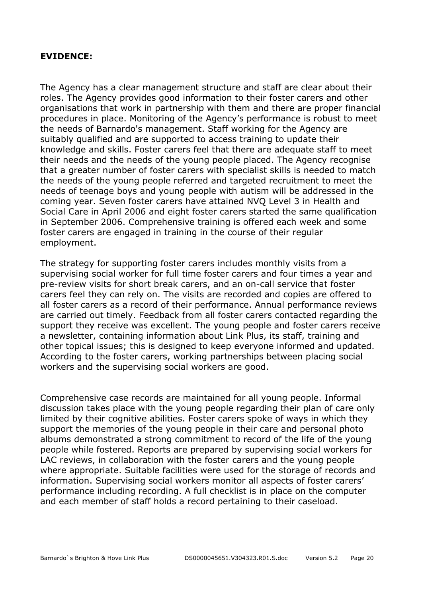#### **EVIDENCE:**

The Agency has a clear management structure and staff are clear about their roles. The Agency provides good information to their foster carers and other organisations that work in partnership with them and there are proper financial procedures in place. Monitoring of the Agency's performance is robust to meet the needs of Barnardo's management. Staff working for the Agency are suitably qualified and are supported to access training to update their knowledge and skills. Foster carers feel that there are adequate staff to meet their needs and the needs of the young people placed. The Agency recognise that a greater number of foster carers with specialist skills is needed to match the needs of the young people referred and targeted recruitment to meet the needs of teenage boys and young people with autism will be addressed in the coming year. Seven foster carers have attained NVQ Level 3 in Health and Social Care in April 2006 and eight foster carers started the same qualification in September 2006. Comprehensive training is offered each week and some foster carers are engaged in training in the course of their regular employment.

The strategy for supporting foster carers includes monthly visits from a supervising social worker for full time foster carers and four times a year and pre-review visits for short break carers, and an on-call service that foster carers feel they can rely on. The visits are recorded and copies are offered to all foster carers as a record of their performance. Annual performance reviews are carried out timely. Feedback from all foster carers contacted regarding the support they receive was excellent. The young people and foster carers receive a newsletter, containing information about Link Plus, its staff, training and other topical issues; this is designed to keep everyone informed and updated. According to the foster carers, working partnerships between placing social workers and the supervising social workers are good.

Comprehensive case records are maintained for all young people. Informal discussion takes place with the young people regarding their plan of care only limited by their cognitive abilities. Foster carers spoke of ways in which they support the memories of the young people in their care and personal photo albums demonstrated a strong commitment to record of the life of the young people while fostered. Reports are prepared by supervising social workers for LAC reviews, in collaboration with the foster carers and the young people where appropriate. Suitable facilities were used for the storage of records and information. Supervising social workers monitor all aspects of foster carers' performance including recording. A full checklist is in place on the computer and each member of staff holds a record pertaining to their caseload.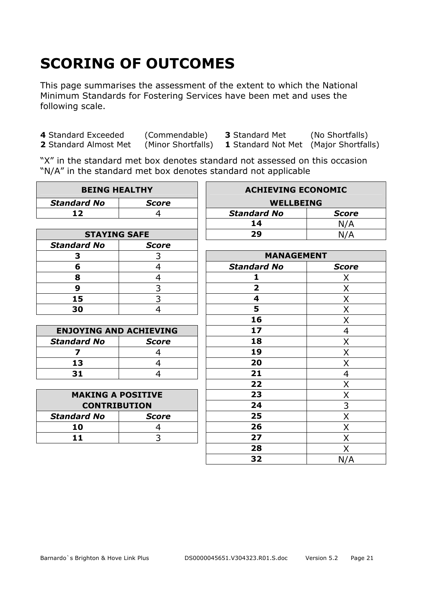# **SCORING OF OUTCOMES**

This page summarises the assessment of the extent to which the National Minimum Standards for Fostering Services have been met and uses the following scale.

**4** Standard Exceeded (Commendable) **3** Standard Met (No Shortfalls)

**1** Standard Not Met (Major Shortfalls)

"X" in the standard met box denotes standard not assessed on this occasion "N/A" in the standard met box denotes standard not applicable

| <b>BEING HEALTHY</b>          |                | <b>ACHIEVING ECONOMIC</b> |                |
|-------------------------------|----------------|---------------------------|----------------|
| <b>Standard No</b>            | <b>Score</b>   | <b>WELLBEING</b>          |                |
| 12                            | 4              | <b>Standard No</b>        | <b>Score</b>   |
|                               |                | 14                        | N/A            |
| <b>STAYING SAFE</b>           |                | 29                        | N/A            |
| <b>Standard No</b>            | <b>Score</b>   |                           |                |
| 3                             | 3              | <b>MANAGEMENT</b>         |                |
| 6                             | $\overline{4}$ | <b>Standard No</b>        | <b>Score</b>   |
| 8                             | 4              | 1                         | X              |
| 9                             | 3              | $\overline{\mathbf{2}}$   | Χ              |
| 15                            | $\overline{3}$ | $\overline{\mathbf{4}}$   | X              |
| 30                            | 4              | 5                         | Χ              |
|                               |                | 16                        | X              |
| <b>ENJOYING AND ACHIEVING</b> |                | 17                        | $\overline{4}$ |
| <b>Standard No</b>            | <b>Score</b>   | 18                        | Χ              |
| $\overline{\mathbf{z}}$       | 4              | 19                        | X              |
| 13                            | 4              | 20                        | X              |
| 31                            | 4              | 21                        | $\overline{4}$ |
|                               |                | 22                        | X              |
| <b>MAKING A POSITIVE</b>      |                | 23                        | X              |
| <b>CONTRIBUTION</b>           |                | 24                        | $\overline{3}$ |
| <b>Standard No</b>            | <b>Score</b>   | 25                        | X              |
| 10                            | 4              | 26                        | X              |
| 11                            | 3              | 27                        | X              |
|                               |                | 28                        | Χ              |
|                               |                | 32                        | N/A            |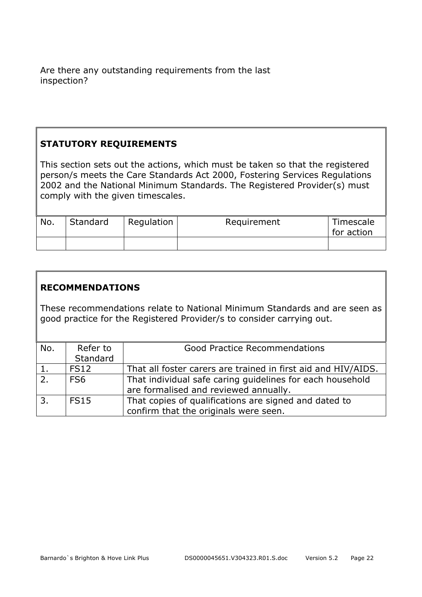Are there any outstanding requirements from the last inspection?

#### **STATUTORY REQUIREMENTS**

This section sets out the actions, which must be taken so that the registered person/s meets the Care Standards Act 2000, Fostering Services Regulations 2002 and the National Minimum Standards. The Registered Provider(s) must comply with the given timescales.

| No. | Standard | Regulation | Requirement | Timescale<br>for action |
|-----|----------|------------|-------------|-------------------------|
|     |          |            |             |                         |

#### **RECOMMENDATIONS**

These recommendations relate to National Minimum Standards and are seen as good practice for the Registered Provider/s to consider carrying out.

| No.  | Refer to        | <b>Good Practice Recommendations</b>                          |
|------|-----------------|---------------------------------------------------------------|
|      | Standard        |                                                               |
| 1.   | <b>FS12</b>     | That all foster carers are trained in first aid and HIV/AIDS. |
| 2.   | FS <sub>6</sub> | That individual safe caring guidelines for each household     |
|      |                 | are formalised and reviewed annually.                         |
| l 3. | <b>FS15</b>     | That copies of qualifications are signed and dated to         |
|      |                 | confirm that the originals were seen.                         |